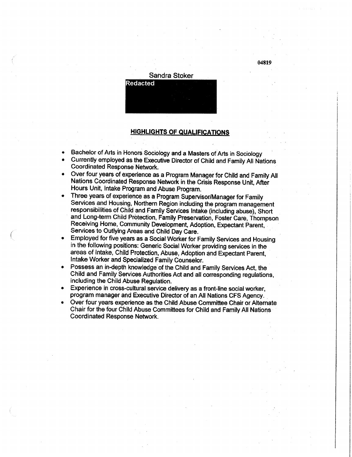

## **HIGHLIGHTS OF QUALIFICATIONS**

- Bachelor of Arts in Honors Sociology and a Masters of Arts in Sociology
- Currently employed as the Executive Director of Child and Family All Nations Coordinated Response Network.
- Over four years of experience as a Program Manager for Child and Family All Nations Coordinated Response Network in the Crisis Response Unit, After Hours Unit, Intake Program and Abuse Program.
- Three years of experience as a Program Supervisor/Manager for Family Services and Housing, Northern Region including the program management responsibilities of Child and Family Services Intake (including abuse), Short and Long-term Child Protection, Family Preservation, Foster Care, Thompson Receiving Home, Community Development, Adoption, Expectant Parent, Services to Outlying Areas and Child Day Care.
- Employed for five years as a Social Worker for Family Services and Housing in the following positions: Generic Social Worker providing services in the areas of Intake, Child Protection, Abuse, Adoption and Expectant Parent, Intake Worker and Specialized Family Counselor.
- Possess an in-depth knowledge of the Child and Family Services Act, the Child and Family Services Authorities Act and all corresponding regulations, including the Child Abuse Regulation.
- Experience in cross-cultural service delivery as a front-line social worker, program manager and Executive Director of an All Nations CFS Agency.
- Over four years experience as the Child Abuse Committee Chair or Alternate Chair for the four Child Abuse Committees for Child and Family All Nations Coordinated Response Network.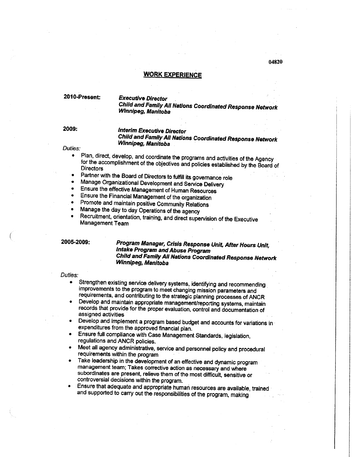### **WORK EXPERIENCE**

## **2010-Present: Executive Director Child and Family All Nations Coordinated Response Network Winnipeg, Manitoba**

**2009 :**

# **Interim Executive Director**

**Child and Famiiy All Nations Coordinated Response Network Winnipeg, Manitoba** 

# $\overline{\phantom{a}}$

- for the accomplishment of the objectives and politics of the style with a gency **Directors**<br>Directors
- Partner with the Board of Directors to fulfill its governance role
- Manage Organizational Development and Service Delivery
- Ensure the effective Management of Human Resources
- Ensure the Financial Management of the organization
- Promote and maintain positive Community Relations
- Manage the day to day Operations of the agency
- Recruitment, orientation, training, and direct supervision of the Executive Management Team

## **2005-2009: Program Manager, Crisis Response Unit, After Hours Unit, Intake Program and Abuse Program Child and Family All Nations Coordinated Response Network Winnipeg, Manitoba**

#### Duties:

- Strengthen existing service delivery systems, identifying and recommending improvements to the program to meet changing mission parameters and requirements, and contributing to the strategic planning processes of ANCR
- Develop and maintain appropriate management/reporting systems, maintain records that provide for the proper evaluation, control and documentation of assigned activities
- Develop and implement a program based budget and accounts for variations in expenditures from the approved financial pian.
- Ensure full compliance with Case Management Standards, legislation, regulations and ANCR policies.
- Meet all agency administrative, service and personnel policy and procedural requirements within the program
- Take leadership in the development of an effective and dynamic program management team; Takes corrective action as necessary and where subordinates are present, relieve them of the most difficult, sensitive or controversial decisions within the program.
- Ensure that adequate and appropriate human resources are available, trained and supported to carry out the responsibilities of the program, making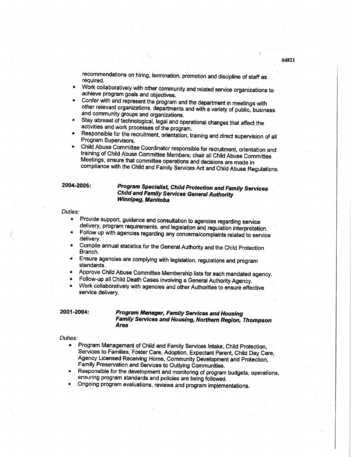recommendations on hiring, termination, promotion and discipline of staff as required.

- Work collaboratively with other community and related service organizations to achieve program goals and objectives.
- Confer with and represent the program and the department in meetings with other relevant organizations, departments and with a variety of public, business and community groups and organizations.
- Stay abreast of technological, legal and operational changes that affect the activities and work processes of the program.
- Responsible for the recruitment, orientation, training and direct supervision of all Program Supervisors.
- Child Abuse Committee Coordinator responsible for recruitment, orientation and training of Child Abuse Committee Members; chair all Child Abuse Committee Meetings, ensure that committee operations and decisions are made in compliance with the Child and Family Services Act and Child Abuse Regulations

## **2004-2005: Program Specialist, Child Protection and Family Services Child and Family Services General Authority Winnipeg, Manitoba**

#### Duties:

- Provide support, guidance and consultation to agencies regarding service delivery, program requirements, and legislation and regulation interpretation.
- Follow up with agencies regarding any concerns/complaints related to service delivery.
- Compile annual statistics for the General Authority and the Child Protection Branch.
- Ensure agencies are complying with legislation, regulations and program standards.
- Approve Child Abuse Committee Membership lists for each mandated agency
- Follow-up all Child Death Cases involving a General Authority Agency.
- Work collaboratively with agencies and other Authorities to ensure effective service delivery.

## **2001 -2004: Program Manager, Family Services and Housing Family Services and Housing, Northern Region, Thompson Area**

### Duties:

- Program Management of Child and Family Services Intake, Child Protection, Services to Families, Foster Care, Adoption, Expectant Parent, Child Day Care, Agency Licensed Receiving Home, Community Development and Protection, Family Preservation and Services to Outlying Communities.
- Responsible for the development and monitoring of program budgets, operations, ensuring program standards and policies are being followed.
- Ongoing program evaluations, reviews and program implementations.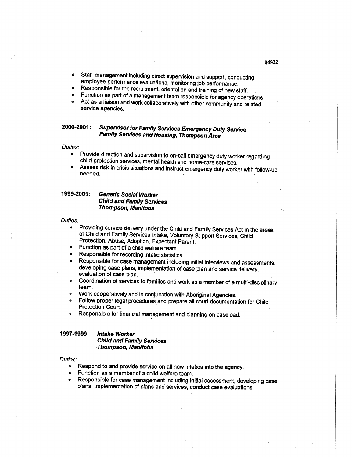- Staff management including direct supervision and support, conducting employee performance evaluations, monitoring job performance.
- Responsible for the recruitment, orientation and training of new staff.
- Function as part of a management team responsible for agency operations.
- Act as a liaison and work collaboratively with other community and related service agencies.

## **2000-2001: Supervisor for Family Services Emergency Duty Service Family Services and Housing, Thompson Area**

Duties:

- Provide direction and supervision to on-call emergency duty worker regarding child protection services, mental health and home-care services.
- Assess risk in crisis situations and instruct emergency duty worker with follow-up needed.

## **1999-2001: Generic Social Worker Child and Family Services Thompson, Manitoba**

Duties:

- Providing service delivery under the Child and Family Services Act in the areas of Child and Family Services Intake, Voluntary Support Services, Child Protection, Abuse, Adoption, Expectant Parent.
- Function as part of a child welfare team.
- Responsible for recording intake statistics.
- Responsible for case management including initial interviews and assessments, developing case plans, implementation of case plan and service delivery, evaluation of case plan.
- Coordination of services to families and work as a member of a multi-disciplinary team.
- Work cooperatively and in conjunction with Aboriginal Agencies.
- Follow proper legal procedures and prepare all court documentation for Child Protection Court.
- Responsible for financial management and planning on caseload.

## **1997-1999: Intake Worker**

**Child and Family Services Thompson, Manitoba** 

### Duties:

- Respond to and provide service on all new intakes into the agency.
- Function as a member of a child welfare team.
- Responsible for case management including initial assessment, developing case plans, implementation of plans and services, conduct case evaluations.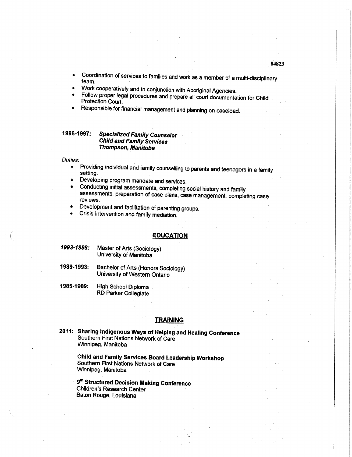- we continue for your vices to families and work as a member of a multi-disciplinary<br>team.
- Work cooperatively and in conjunction with Aboriginal Agencies.
- Follow proper legal procedures and prepare all court documentation for Child Protection Court.
- Responsible for financial management and planning on caseload.

## **1996-1997: Specialized Family Counselor Child and Family Services Thompson, Manitoba**

### Duties:

- Providing individual and family counselling to parents and teenagers in a famil setting.
- Developing program mandate and services.<br>• Conducting initial assessments completing
- Conducting initial assessments, completing social history and family assessments, preparation of case plans, case management, completing case reviews.
- Development and facilitation of parenting groups.
- Crisis intervention and family mediation.

## **EDUCATION**

- **1993-1998:** Master of Arts (Sociology) University of Manitoba
- **1989-1993:** Bachelor of Arts (Honors Sociology) University of Western Ontario
- **1985-1989:** High School Diploma RD Parker Collegiate

### **TRAINING**

**2011: Sharing Indigenous Ways of Helping and Healing Conference**  Southern First Nations Network of Care Winnipeg, Manitoba

> **Child and Family Services Board Leadership Workshop**  Southern First Nations Network of Care Winnipeg, Manitoba

**9 th Structured Decision Making Conference**  Children's Research Center Baton Rouge, Louisiana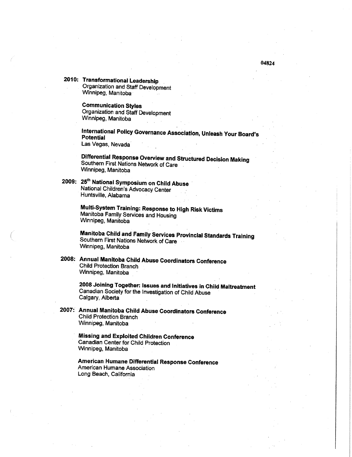**2010: Transformational Leadership**  Organization and Staff Development Winnipeg, Manitoba

> **Communication Styles**  Organization and Staff Development Winnipeg, Manitoba

**International Policy Governance Association, Unleash Your Board's Potential**  Las Vegas, Nevada

**Differential Response Overview and Structured Decision Making**  Southern First Nations Network of Care Winnipeg, Manitoba

**2009: 25th National Symposium on Child Abuse**  National Children's Advocacy Center Huntsville, Alabama

> **Multi-System Training: Response to High Risk Victims**  Manitoba Family Services and Housing Winnipeg, Manitoba

**Manitoba Child and Family Services Provincial Standards Training**  Southern First Nations Network of Care Winnipeg, Manitoba

**2008: Annual Manitoba Child Abuse Coordinators Conference**  Child Protection Branch Winnipeg, Manitoba

> **2008 Joining Together: issues and Initiatives in Child Maltreatment**  Canadian Society for the Investigation of Child Abuse Calgary, Alberta

**2007: Annual Manitoba Child Abuse Coordinators Conference**  Child Protection Branch Winnipeg, Manitoba

> **Missing and Exploited Children Conference**  Canadian Center for Child Protection Winnipeg, Manitoba

**American Humane Differential Response Conference**  American Humane Association Long Beach, California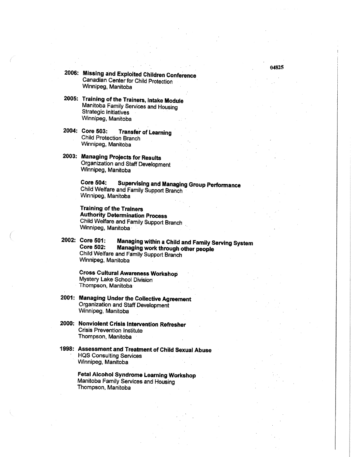- **2006: Missing and Exploited Children Conference**  Canadian Center for Child Protection Winnipeg, Manitoba
- **2005: Training of the Trainers, Intake Module**  Manitoba Family Services and Housing Strategic Initiatives Winnipeg, Manitoba
- **2004: Core 503: Transfer of Learning**  Child Protection Branch Winnipeg, Manitoba
- **2003: Managing Projects for Results**  Organization and Staff Development Winnipeg, Manitoba

**Core 504: Supervising and Managing Group Performance**  Child Welfare and Family Support Branch Winnipeg, Manitoba

**Training of the Trainers Authority Determination Process**  Child Welfare and Family Support Branch Winnipeg, Manitoba

**2002: Core 501: Managing within a Child and Family Serving System Core 502: Managing work through other people**  Child Welfare and Family Support Branch Winnipeg, Manitoba

**Cross Cultural Awareness Workshop**  Mystery Lake School Division Thompson, Manitoba

**2001: Managing Under the Collective Agreement**  Organization and Staff Development Winnipeg, Manitoba

**2000: Nonviolent Crisis Intervention Refresher**  Crisis Prevention Institute Thompson, Manitoba

**1998: Assessment and Treatment of Child Sexual Abuse**  HQS Consulting Services Winnipeg, Manitoba

> **Fetal Alcohol Syndrome Learning Workshop**  Manitoba Family Services and Housing Thompson, Manitoba